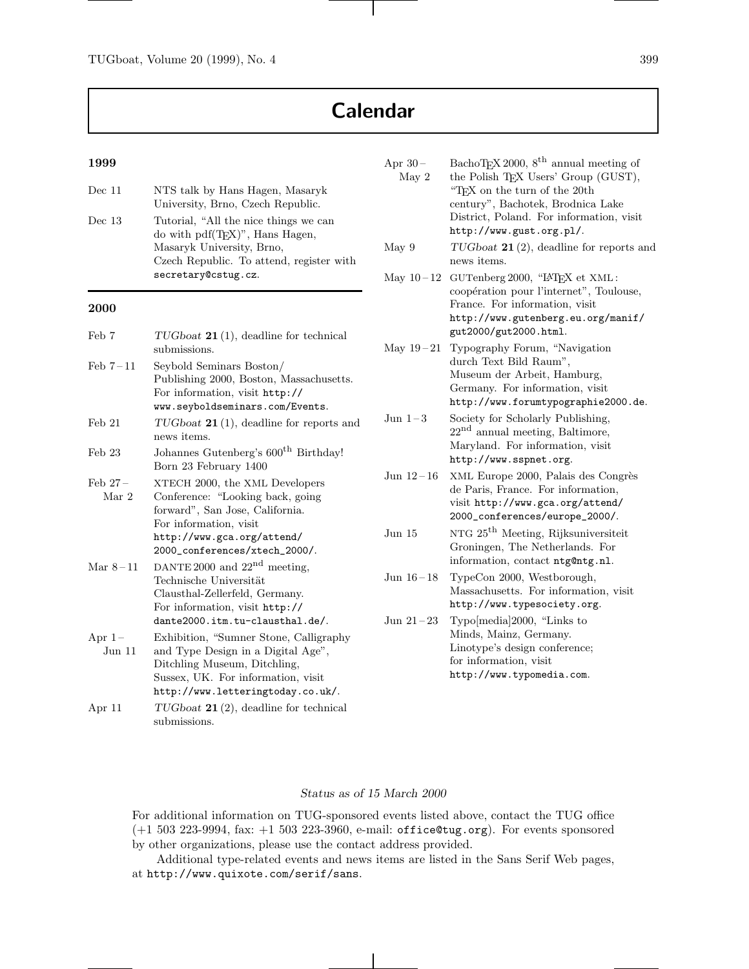# **Calendar**

#### **1999**

| Dec~11   | NTS talk by Hans Hagen, Masaryk<br>University, Brno, Czech Republic.                                                                                                       |
|----------|----------------------------------------------------------------------------------------------------------------------------------------------------------------------------|
| Dec $13$ | Tutorial, "All the nice things we can<br>do with $pdf(TFX)$ ", Hans Hagen,<br>Masaryk University, Brno,<br>Czech Republic. To attend, register with<br>secretary@cstug.cz. |
|          |                                                                                                                                                                            |

### **2000**

| Feb 7                          | $TUGboat$ 21(1), deadline for technical<br>submissions.                                                                                                                                         |
|--------------------------------|-------------------------------------------------------------------------------------------------------------------------------------------------------------------------------------------------|
| Feb $7-11$                     | Seybold Seminars Boston/<br>Publishing 2000, Boston, Massachusetts.<br>For information, visit http://<br>www.seyboldseminars.com/Events.                                                        |
| $\text{Feb} 21$                | $TUGboat$ 21(1), deadline for reports and<br>news items.                                                                                                                                        |
| $\text{Feb} 23$                | Johannes Gutenberg's 600 <sup>th</sup> Birthday!<br>Born 23 February 1400                                                                                                                       |
| $\text{Feb} 27$ –<br>Mar 2     | XTECH 2000, the XML Developers<br>Conference: "Looking back, going"<br>forward", San Jose, California.<br>For information, visit<br>http://www.gca.org/attend/<br>2000_conferences/xtech_2000/. |
| Mar $8-11$                     | DANTE 2000 and $22nd$ meeting,<br>Technische Universität<br>Clausthal-Zellerfeld, Germany.<br>For information, visit http://<br>dante2000.itm.tu-clausthal.de/.                                 |
| Apr $1-$<br>$_{\text{Jun}}$ 11 | Exhibition, "Sumner Stone, Calligraphy"<br>and Type Design in a Digital Age",<br>Ditchling Museum, Ditchling,<br>Sussex, UK. For information, visit<br>http://www.letteringtoday.co.uk/.        |
| Apr 11                         | $TUGboat$ 21(2), deadline for technical<br>submissions.                                                                                                                                         |

| Apr $30-$<br>May 2    | BachoTEX 2000, $8^{\text{th}}$ annual meeting of<br>the Polish TEX Users' Group (GUST),<br>"TFX on the turn of the 20th<br>century", Bachotek, Brodnica Lake<br>District, Poland. For information, visit<br>http://www.gust.org.pl/. |
|-----------------------|--------------------------------------------------------------------------------------------------------------------------------------------------------------------------------------------------------------------------------------|
| May 9                 | $TUGboat$ 21(2), deadline for reports and<br>news items.                                                                                                                                                                             |
| May $10-12$           | GUTenberg 2000, "IATEX et XML:<br>coopération pour l'internet", Toulouse,<br>France. For information, visit<br>http://www.gutenberg.eu.org/manif/<br>gut2000/gut2000.html.                                                           |
| May $19-21$           | Typography Forum, "Navigation<br>durch Text Bild Raum",<br>Museum der Arbeit, Hamburg,<br>Germany. For information, visit<br>http://www.forumtypographie2000.de.                                                                     |
| $_{\rm Jun}$ $_{1-3}$ | Society for Scholarly Publishing,<br>$22nd$ annual meeting, Baltimore,<br>Maryland. For information, visit<br>http://www.sspnet.org.                                                                                                 |
| Jun $12 - 16$         | XML Europe 2000, Palais des Congrès<br>de Paris, France. For information,<br>visit http://www.gca.org/attend/<br>2000_conferences/europe_2000/.                                                                                      |
| Jun $15$              | NTG $25^{\text{th}}$ Meeting, Rijksuniversiteit<br>Groningen, The Netherlands. For<br>information, contact ntg@ntg.nl.                                                                                                               |
| Jun $16 - 18$         | TypeCon 2000, Westborough,<br>Massachusetts. For information, visit<br>http://www.typesociety.org.                                                                                                                                   |
| Jun $21-23$           | Typo[media]2000, "Links to<br>Minds, Mainz, Germany.<br>Linotype's design conference;<br>for information, visit<br>http://www.typomedia.com.                                                                                         |
|                       |                                                                                                                                                                                                                                      |

#### *Status as of 15 March 2000*

For additional information on TUG-sponsored events listed above, contact the TUG office (+1 503 223-9994, fax: +1 503 223-3960, e-mail: office@tug.org). For events sponsored by other organizations, please use the contact address provided.

Additional type-related events and news items are listed in the Sans Serif Web pages, at http://www.quixote.com/serif/sans.